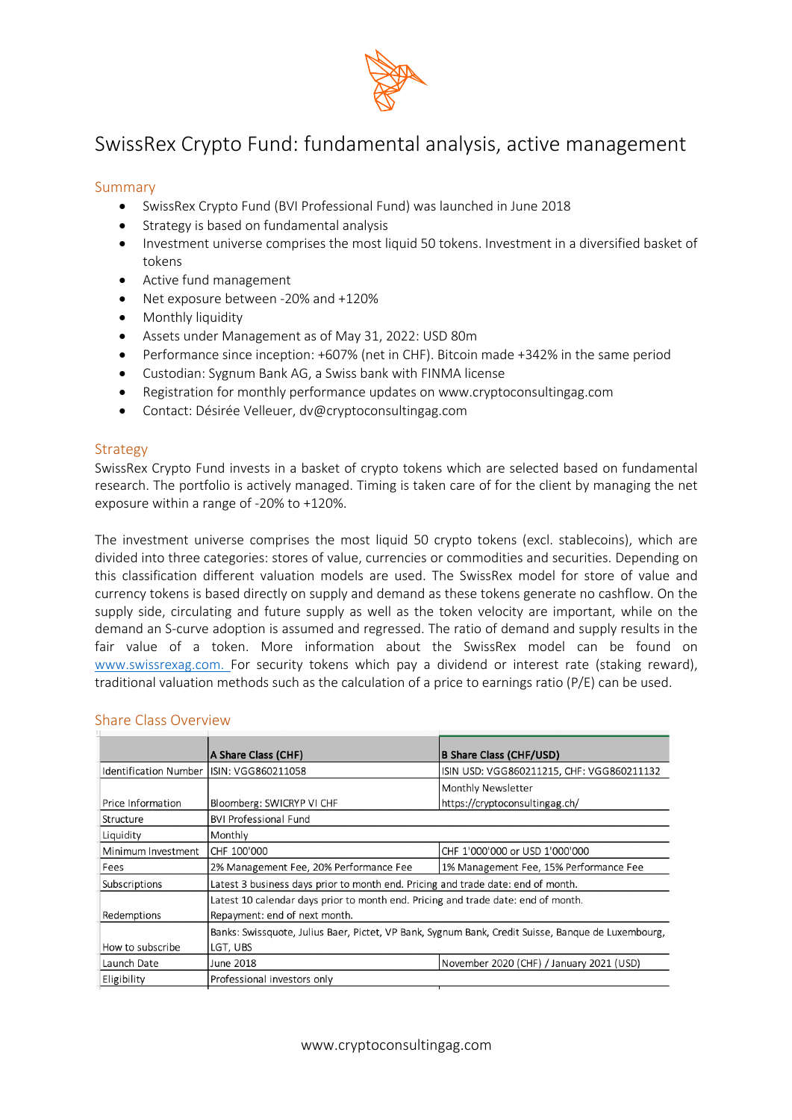

# SwissRex Crypto Fund: fundamental analysis, active management

#### Summary

- SwissRex Crypto Fund (BVI Professional Fund) was launched in June 2018
- Strategy is based on fundamental analysis
- Investment universe comprises the most liquid 50 tokens. Investment in a diversified basket of tokens
- Active fund management
- Net exposure between -20% and +120%
- Monthly liquidity
- Assets under Management as of May 31, 2022: USD 80m
- Performance since inception: +607% (net in CHF). Bitcoin made +342% in the same period
- Custodian: Sygnum Bank AG, a Swiss bank with FINMA license
- Registration for monthly performance updates on www.cryptoconsultingag.com
- Contact: Désirée Velleuer, dv@cryptoconsultingag.com

#### **Strategy**

SwissRex Crypto Fund invests in a basket of crypto tokens which are selected based on fundamental research. The portfolio is actively managed. Timing is taken care of for the client by managing the net exposure within a range of -20% to +120%.

The investment universe comprises the most liquid 50 crypto tokens (excl. stablecoins), which are divided into three categories: stores of value, currencies or commodities and securities. Depending on this classification different valuation models are used. The SwissRex model for store of value and currency tokens is based directly on supply and demand as these tokens generate no cashflow. On the supply side, circulating and future supply as well as the token velocity are important, while on the demand an S-curve adoption is assumed and regressed. The ratio of demand and supply results in the fair value of a token. More information about the SwissRex model can be found on www.swissrexag.com. For security tokens which pay a dividend or interest rate (staking reward), traditional valuation methods such as the calculation of a price to earnings ratio (P/E) can be used.

|                                          | A Share Class (CHF)                                                               | B Share Class (CHF/USD)                                                                            |
|------------------------------------------|-----------------------------------------------------------------------------------|----------------------------------------------------------------------------------------------------|
| Identification Number ISIN: VGG860211058 |                                                                                   | ISIN USD: VGG860211215, CHF: VGG860211132                                                          |
|                                          |                                                                                   | Monthly Newsletter                                                                                 |
| Price Information                        | Bloomberg: SWICRYP VI CHF                                                         | https://cryptoconsultingag.ch/                                                                     |
| Structure                                | <b>BVI Professional Fund</b>                                                      |                                                                                                    |
| Liquidity                                | Monthly                                                                           |                                                                                                    |
| Minimum Investment                       | CHF 100'000                                                                       | CHF 1'000'000 or USD 1'000'000                                                                     |
| Fees                                     | 2% Management Fee, 20% Performance Fee                                            | 1% Management Fee, 15% Performance Fee                                                             |
| Subscriptions                            | Latest 3 business days prior to month end. Pricing and trade date: end of month.  |                                                                                                    |
|                                          | Latest 10 calendar days prior to month end. Pricing and trade date: end of month. |                                                                                                    |
| Redemptions                              | Repayment: end of next month.                                                     |                                                                                                    |
|                                          |                                                                                   | Banks: Swissquote, Julius Baer, Pictet, VP Bank, Sygnum Bank, Credit Suisse, Banque de Luxembourg, |
| How to subscribe                         | LGT, UBS                                                                          |                                                                                                    |
| Launch Date                              | June 2018                                                                         | November 2020 (CHF) / January 2021 (USD)                                                           |
| Eligibility                              | Professional investors only                                                       |                                                                                                    |

#### Share Class Overview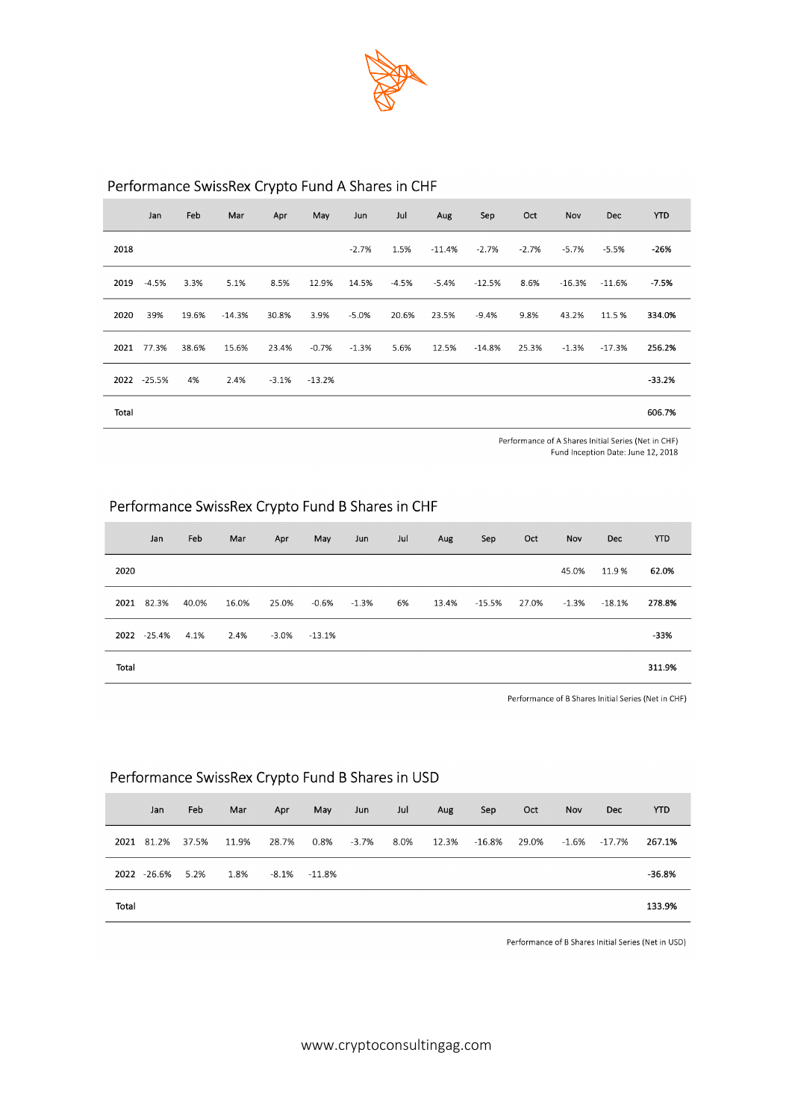

# Performance SwissRex Crypto Fund A Shares in CHF

|       | Jan         | Feb   | Mar      | Apr     | May      | Jun     | Jul     | Aug      | Sep      | Oct     | Nov     | <b>Dec</b> | <b>YTD</b> |
|-------|-------------|-------|----------|---------|----------|---------|---------|----------|----------|---------|---------|------------|------------|
| 2018  |             |       |          |         |          | $-2.7%$ | 1.5%    | $-11.4%$ | $-2.7%$  | $-2.7%$ | -5.7%   | $-5.5%$    | -26%       |
| 2019  | $-4.5%$     | 3.3%  | 5.1%     | 8.5%    | 12.9%    | 14.5%   | $-4.5%$ | $-5.4%$  | $-12.5%$ | 8.6%    | -16.3%  | $-11.6%$   | $-7.5%$    |
| 2020  | 39%         | 19.6% | $-14.3%$ | 30.8%   | 3.9%     | $-5.0%$ | 20.6%   | 23.5%    | $-9.4%$  | 9.8%    | 43.2%   | 11.5 %     | 334.0%     |
| 2021  | 77.3%       | 38.6% | 15.6%    | 23.4%   | $-0.7%$  | $-1.3%$ | 5.6%    | 12.5%    | $-14.8%$ | 25.3%   | $-1.3%$ | $-17.3%$   | 256.2%     |
|       | 2022 -25.5% | 4%    | 2.4%     | $-3.1%$ | $-13.2%$ |         |         |          |          |         |         |            | $-33.2%$   |
| Total |             |       |          |         |          |         |         |          |          |         |         |            | 606.7%     |

Performance of A Shares Initial Series (Net in CHF) Fund Inception Date: June 12, 2018

## Performance SwissRex Crypto Fund B Shares in CHF

|       | Jan         | Feb   | Mar   | Apr   | May    | Jun     | Jul | Aug   | Sep      | Oct   | Nov   | <b>Dec</b> | <b>YTD</b> |
|-------|-------------|-------|-------|-------|--------|---------|-----|-------|----------|-------|-------|------------|------------|
| 2020  |             |       |       |       |        |         |     |       |          |       | 45.0% | 11.9%      | 62.0%      |
|       | 2021 82.3%  | 40.0% | 16.0% | 25.0% | -0.6%  | $-1.3%$ | 6%  | 13.4% | $-15.5%$ | 27.0% | -1.3% | -18.1%     | 278.8%     |
|       | 2022 -25.4% | 4.1%  | 2.4%  | -3.0% | -13.1% |         |     |       |          |       |       |            | $-33%$     |
| Total |             |       |       |       |        |         |     |       |          |       |       |            | 311.9%     |

Performance of B Shares Initial Series (Net in CHF)

### Performance SwissRex Crypto Fund B Shares in USD

|       | Jan         | Feb   | Mar   | Apr   | May              | Jun     | Jul  | Aug   | Sep    | Oct   | <b>Nov</b> | <b>Dec</b> | <b>YTD</b> |
|-------|-------------|-------|-------|-------|------------------|---------|------|-------|--------|-------|------------|------------|------------|
|       | 2021 81.2%  | 37.5% | 11.9% | 28.7% | 0.8%             | $-3.7%$ | 8.0% | 12.3% | -16.8% | 29.0% | -1.6%      | -17.7%     | 267.1%     |
|       | 2022 -26.6% | 5.2%  | 1.8%  |       | $-8.1\% -11.8\%$ |         |      |       |        |       |            |            | $-36.8%$   |
| Total |             |       |       |       |                  |         |      |       |        |       |            |            | 133.9%     |

Performance of B Shares Initial Series (Net in USD)